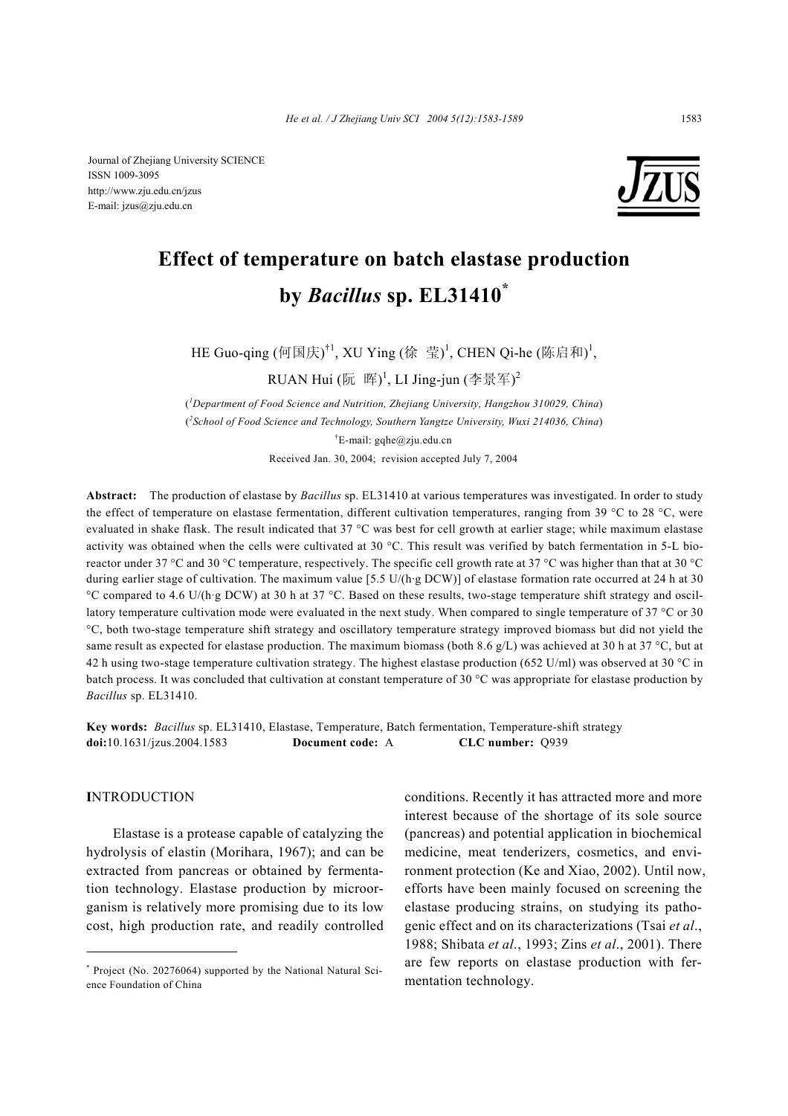

# **Effect of temperature on batch elastase production by** *Bacillus* **sp. EL31410\***

HE Guo-qing (何国庆)<sup>†1</sup>, XU Ying (徐 莹)<sup>1</sup>, CHEN Qi-he (陈启和)<sup>1</sup>,

RUAN Hui (阮 晖)<sup>1</sup>, LI Jing-jun (李景军)<sup>2</sup>

( *1 Department of Food Science and Nutrition, Zhejiang University, Hangzhou 310029, China*) ( *2 School of Food Science and Technology, Southern Yangtze University, Wuxi 214036, China*) † E-mail: gqhe@zju.edu.cn Received Jan. 30, 2004; revision accepted July 7, 2004

**Abstract:** The production of elastase by *Bacillus* sp. EL31410 at various temperatures was investigated. In order to study the effect of temperature on elastase fermentation, different cultivation temperatures, ranging from 39 °C to 28 °C, were evaluated in shake flask. The result indicated that 37 °C was best for cell growth at earlier stage; while maximum elastase activity was obtained when the cells were cultivated at 30 °C. This result was verified by batch fermentation in 5-L bioreactor under 37 °C and 30 °C temperature, respectively. The specific cell growth rate at 37 °C was higher than that at 30 °C during earlier stage of cultivation. The maximum value [5.5 U/(h·g DCW)] of elastase formation rate occurred at 24 h at 30 °C compared to 4.6 U/(h·g DCW) at 30 h at 37 °C. Based on these results, two-stage temperature shift strategy and oscillatory temperature cultivation mode were evaluated in the next study. When compared to single temperature of 37 °C or 30 °C, both two-stage temperature shift strategy and oscillatory temperature strategy improved biomass but did not yield the same result as expected for elastase production. The maximum biomass (both 8.6 g/L) was achieved at 30 h at 37 °C, but at 42 h using two-stage temperature cultivation strategy. The highest elastase production (652 U/ml) was observed at 30 °C in batch process. It was concluded that cultivation at constant temperature of 30 °C was appropriate for elastase production by *Bacillus* sp. EL31410.

**Key words:** *Bacillus* sp. EL31410, Elastase, Temperature, Batch fermentation, Temperature-shift strategy **doi:**10.1631/jzus.2004.1583 **Document code:** A **CLC number:** Q939

#### **I**NTRODUCTION

Elastase is a protease capable of catalyzing the hydrolysis of elastin (Morihara, 1967); and can be extracted from pancreas or obtained by fermentation technology. Elastase production by microorganism is relatively more promising due to its low cost, high production rate, and readily controlled

conditions. Recently it has attracted more and more interest because of the shortage of its sole source (pancreas) and potential application in biochemical medicine, meat tenderizers, cosmetics, and environment protection (Ke and Xiao, 2002). Until now, efforts have been mainly focused on screening the elastase producing strains, on studying its pathogenic effect and on its characterizations (Tsai *et al*., 1988; Shibata *et al*., 1993; Zins *et al*., 2001). There are few reports on elastase production with fermentation technology.

<sup>\*</sup> Project (No. 20276064) supported by the National Natural Science Foundation of China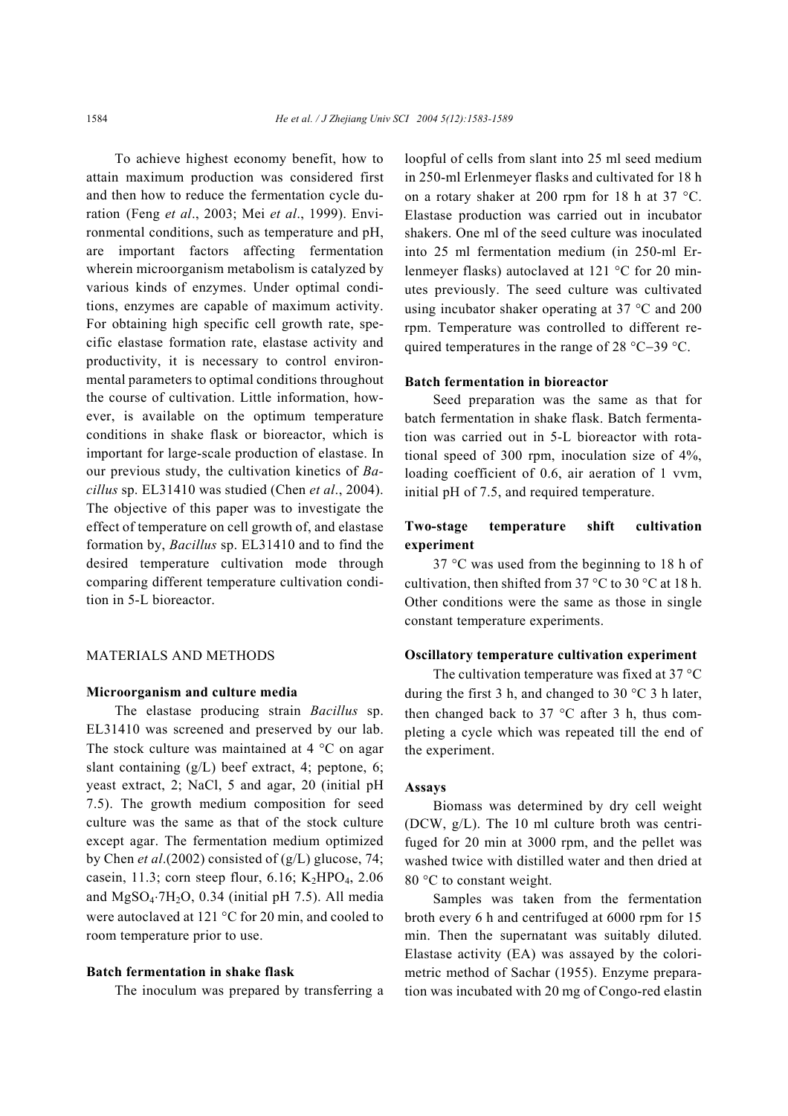To achieve highest economy benefit, how to attain maximum production was considered first and then how to reduce the fermentation cycle duration (Feng *et al*., 2003; Mei *et al*., 1999). Environmental conditions, such as temperature and pH, are important factors affecting fermentation wherein microorganism metabolism is catalyzed by various kinds of enzymes. Under optimal conditions, enzymes are capable of maximum activity. For obtaining high specific cell growth rate, specific elastase formation rate, elastase activity and productivity, it is necessary to control environmental parameters to optimal conditions throughout the course of cultivation. Little information, however, is available on the optimum temperature conditions in shake flask or bioreactor, which is important for large-scale production of elastase. In our previous study, the cultivation kinetics of *Bacillus* sp. EL31410 was studied (Chen *et al*., 2004). The objective of this paper was to investigate the effect of temperature on cell growth of, and elastase formation by, *Bacillus* sp. EL31410 and to find the desired temperature cultivation mode through comparing different temperature cultivation condition in 5-L bioreactor.

### MATERIALS AND METHODS

#### **Microorganism and culture media**

The elastase producing strain *Bacillus* sp. EL31410 was screened and preserved by our lab. The stock culture was maintained at 4 °C on agar slant containing (g/L) beef extract, 4; peptone, 6; yeast extract, 2; NaCl, 5 and agar, 20 (initial pH 7.5). The growth medium composition for seed culture was the same as that of the stock culture except agar. The fermentation medium optimized by Chen *et al*.(2002) consisted of (g/L) glucose, 74; casein, 11.3; corn steep flour, 6.16; K<sub>2</sub>HPO<sub>4</sub>, 2.06 and  $MgSO_4·7H_2O$ , 0.34 (initial pH 7.5). All media were autoclaved at 121 °C for 20 min, and cooled to room temperature prior to use.

#### **Batch fermentation in shake flask**

The inoculum was prepared by transferring a

loopful of cells from slant into 25 ml seed medium in 250-ml Erlenmeyer flasks and cultivated for 18 h on a rotary shaker at 200 rpm for 18 h at 37 °C. Elastase production was carried out in incubator shakers. One ml of the seed culture was inoculated into 25 ml fermentation medium (in 250-ml Erlenmeyer flasks) autoclaved at 121 °C for 20 minutes previously. The seed culture was cultivated using incubator shaker operating at 37 °C and 200 rpm. Temperature was controlled to different required temperatures in the range of 28 °C−39 °C.

#### **Batch fermentation in bioreactor**

Seed preparation was the same as that for batch fermentation in shake flask. Batch fermentation was carried out in 5-L bioreactor with rotational speed of 300 rpm, inoculation size of 4%, loading coefficient of 0.6, air aeration of 1 vvm, initial pH of 7.5, and required temperature.

## **Two-stage temperature shift cultivation experiment**

37 °C was used from the beginning to 18 h of cultivation, then shifted from 37  $\degree$ C to 30  $\degree$ C at 18 h. Other conditions were the same as those in single constant temperature experiments.

#### **Oscillatory temperature cultivation experiment**

The cultivation temperature was fixed at 37 °C during the first 3 h, and changed to 30 °C 3 h later, then changed back to 37  $\degree$ C after 3 h, thus completing a cycle which was repeated till the end of the experiment.

#### **Assays**

Biomass was determined by dry cell weight (DCW, g/L). The 10 ml culture broth was centrifuged for 20 min at 3000 rpm, and the pellet was washed twice with distilled water and then dried at 80 °C to constant weight.

Samples was taken from the fermentation broth every 6 h and centrifuged at 6000 rpm for 15 min. Then the supernatant was suitably diluted. Elastase activity (EA) was assayed by the colorimetric method of Sachar (1955). Enzyme preparation was incubated with 20 mg of Congo-red elastin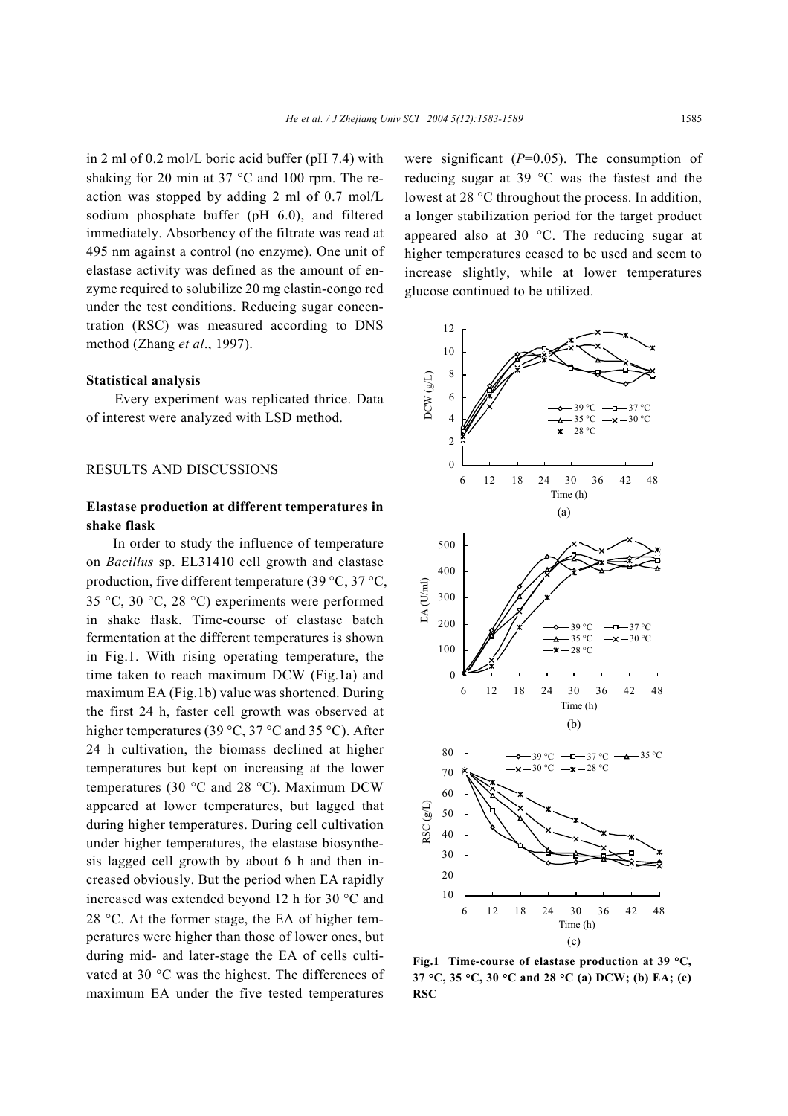in 2 ml of 0.2 mol/L boric acid buffer (pH 7.4) with shaking for 20 min at 37 °C and 100 rpm. The reaction was stopped by adding 2 ml of 0.7 mol/L sodium phosphate buffer (pH 6.0), and filtered immediately. Absorbency of the filtrate was read at 495 nm against a control (no enzyme). One unit of elastase activity was defined as the amount of enzyme required to solubilize 20 mg elastin-congo red under the test conditions. Reducing sugar concentration (RSC) was measured according to DNS method (Zhang *et al*., 1997).

#### **Statistical analysis**

Every experiment was replicated thrice. Data of interest were analyzed with LSD method.

## RESULTS AND DISCUSSIONS

## **Elastase production at different temperatures in shake flask**

In order to study the influence of temperature on *Bacillus* sp. EL31410 cell growth and elastase production, five different temperature (39 °C, 37 °C, 35 °C, 30 °C, 28 °C) experiments were performed in shake flask. Time-course of elastase batch fermentation at the different temperatures is shown in Fig.1. With rising operating temperature, the time taken to reach maximum DCW (Fig.1a) and maximum EA (Fig.1b) value was shortened. During the first 24 h, faster cell growth was observed at higher temperatures (39 °C, 37 °C and 35 °C). After 24 h cultivation, the biomass declined at higher temperatures but kept on increasing at the lower temperatures (30 °C and 28 °C). Maximum DCW appeared at lower temperatures, but lagged that during higher temperatures. During cell cultivation under higher temperatures, the elastase biosynthesis lagged cell growth by about 6 h and then increased obviously. But the period when EA rapidly increased was extended beyond 12 h for 30 °C and 28 °C. At the former stage, the EA of higher temperatures were higher than those of lower ones, but during mid- and later-stage the EA of cells cultivated at 30 °C was the highest. The differences of maximum EA under the five tested temperatures

were significant (*P*=0.05). The consumption of reducing sugar at 39 °C was the fastest and the lowest at 28 °C throughout the process. In addition, a longer stabilization period for the target product appeared also at 30 °C. The reducing sugar at higher temperatures ceased to be used and seem to increase slightly, while at lower temperatures glucose continued to be utilized.



**Fig.1 Time-course of elastase production at 39** °**C, 37** °**C, 35** °**C, 30** °**C and 28** °**C (a) DCW; (b) EA; (c) RSC**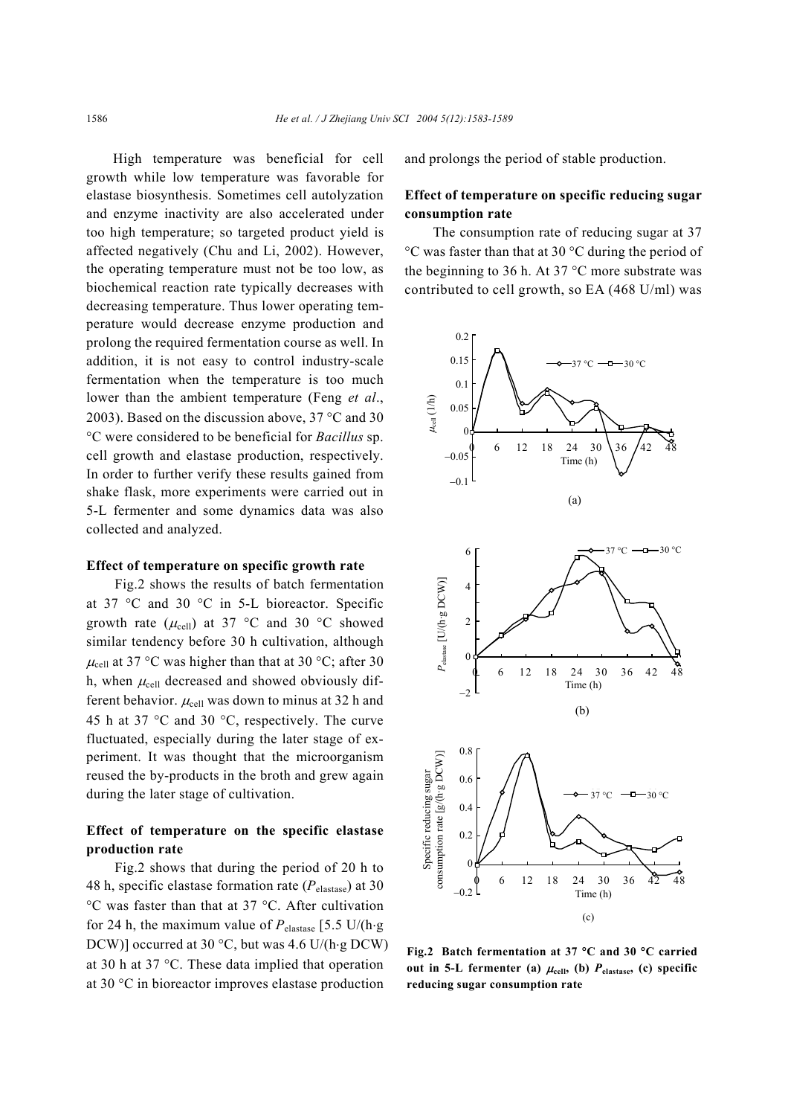High temperature was beneficial for cell growth while low temperature was favorable for elastase biosynthesis. Sometimes cell autolyzation and enzyme inactivity are also accelerated under too high temperature; so targeted product yield is affected negatively (Chu and Li, 2002). However, the operating temperature must not be too low, as biochemical reaction rate typically decreases with decreasing temperature. Thus lower operating temperature would decrease enzyme production and prolong the required fermentation course as well. In addition, it is not easy to control industry-scale fermentation when the temperature is too much lower than the ambient temperature (Feng *et al*., 2003). Based on the discussion above, 37 °C and 30 °C were considered to be beneficial for *Bacillus* sp. cell growth and elastase production, respectively. In order to further verify these results gained from shake flask, more experiments were carried out in 5-L fermenter and some dynamics data was also collected and analyzed.

### **Effect of temperature on specific growth rate**

Fig.2 shows the results of batch fermentation at 37 °C and 30 °C in 5-L bioreactor. Specific growth rate ( $\mu_{cell}$ ) at 37 °C and 30 °C showed similar tendency before 30 h cultivation, although  $\mu_{cell}$  at 37 °C was higher than that at 30 °C; after 30 h, when  $\mu_{cell}$  decreased and showed obviously different behavior.  $\mu_{cell}$  was down to minus at 32 h and 45 h at 37 °C and 30 °C, respectively. The curve fluctuated, especially during the later stage of experiment. It was thought that the microorganism reused the by-products in the broth and grew again during the later stage of cultivation.

## **Effect of temperature on the specific elastase production rate**

Fig.2 shows that during the period of 20 h to 48 h, specific elastase formation rate (*P*elastase) at 30 °C was faster than that at 37 °C. After cultivation for 24 h, the maximum value of  $P_{\text{elastic}}$  [5.5 U/(h⋅g DCW)] occurred at 30 °C, but was 4.6 U/(h⋅g DCW) at 30 h at 37 °C. These data implied that operation at 30 °C in bioreactor improves elastase production

and prolongs the period of stable production.

## **Effect of temperature on specific reducing sugar consumption rate**

The consumption rate of reducing sugar at 37 °C was faster than that at 30 °C during the period of the beginning to 36 h. At 37 °C more substrate was contributed to cell growth, so EA (468 U/ml) was



**Fig.2 Batch fermentation at 37** °**C and 30** °**C carried** out in 5-L fermenter (a)  $\mu_{cell}$ , (b)  $P_{elastic}$ , (c) specific **reducing sugar consumption rate**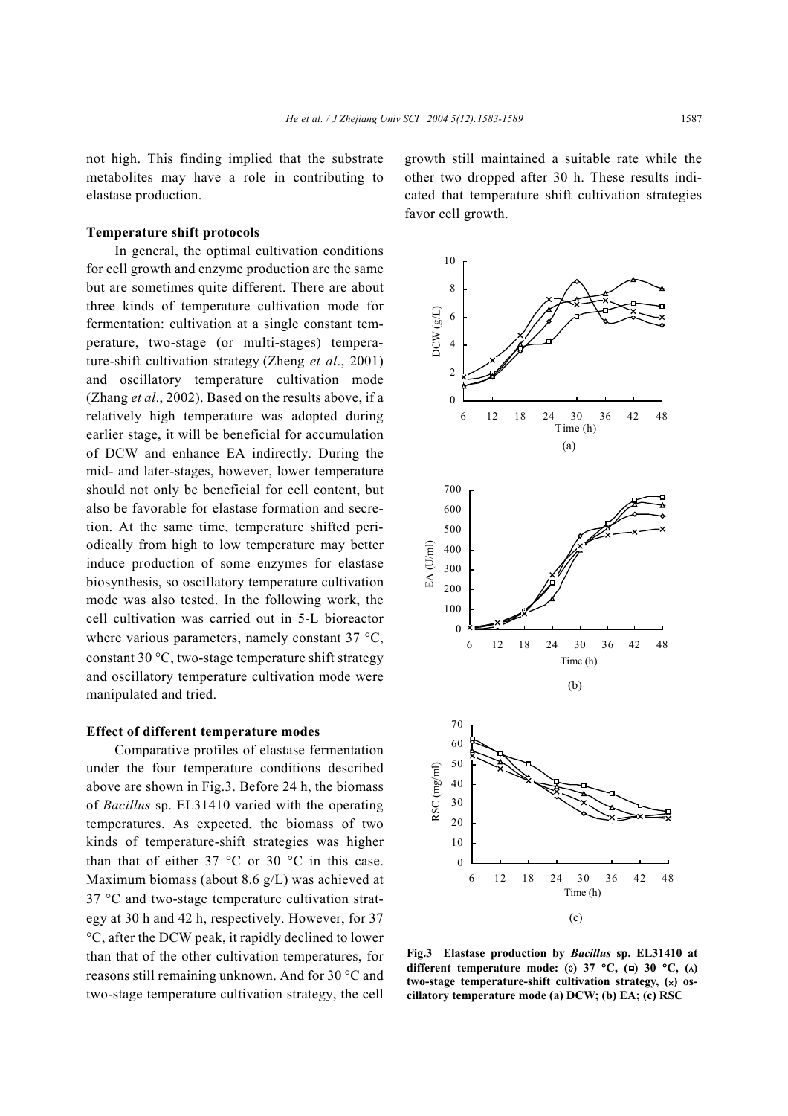not high. This finding implied that the substrate metabolites may have a role in contributing to elastase production.

### **Temperature shift protocols**

In general, the optimal cultivation conditions for cell growth and enzyme production are the same but are sometimes quite different. There are about three kinds of temperature cultivation mode for fermentation: cultivation at a single constant temperature, two-stage (or multi-stages) temperature-shift cultivation strategy (Zheng *et al*., 2001) and oscillatory temperature cultivation mode (Zhang *et al*., 2002). Based on the results above, if a relatively high temperature was adopted during earlier stage, it will be beneficial for accumulation of DCW and enhance EA indirectly. During the mid- and later-stages, however, lower temperature should not only be beneficial for cell content, but also be favorable for elastase formation and secretion. At the same time, temperature shifted periodically from high to low temperature may better induce production of some enzymes for elastase biosynthesis, so oscillatory temperature cultivation mode was also tested. In the following work, the cell cultivation was carried out in 5-L bioreactor where various parameters, namely constant 37 °C, constant 30 °C, two-stage temperature shift strategy and oscillatory temperature cultivation mode were manipulated and tried.

#### **Effect of different temperature modes**

Comparative profiles of elastase fermentation under the four temperature conditions described above are shown in Fig.3. Before 24 h, the biomass of *Bacillus* sp. EL31410 varied with the operating temperatures. As expected, the biomass of two kinds of temperature-shift strategies was higher than that of either 37  $\degree$ C or 30  $\degree$ C in this case. Maximum biomass (about 8.6 g/L) was achieved at 37 °C and two-stage temperature cultivation strategy at 30 h and 42 h, respectively. However, for 37 °C, after the DCW peak, it rapidly declined to lower than that of the other cultivation temperatures, for reasons still remaining unknown. And for 30 °C and two-stage temperature cultivation strategy, the cell growth still maintained a suitable rate while the other two dropped after 30 h. These results indicated that temperature shift cultivation strategies favor cell growth.



**Fig.3 Elastase production by** *Bacillus* **sp. EL31410 at** different temperature mode: ( $\circ$ ) 37 °C, ( $\Box$ ) 30 °C, ( $\Delta$ ) **two-stage temperature-shift cultivation strategy, (**×**) oscillatory temperature mode (a) DCW; (b) EA; (c) RSC**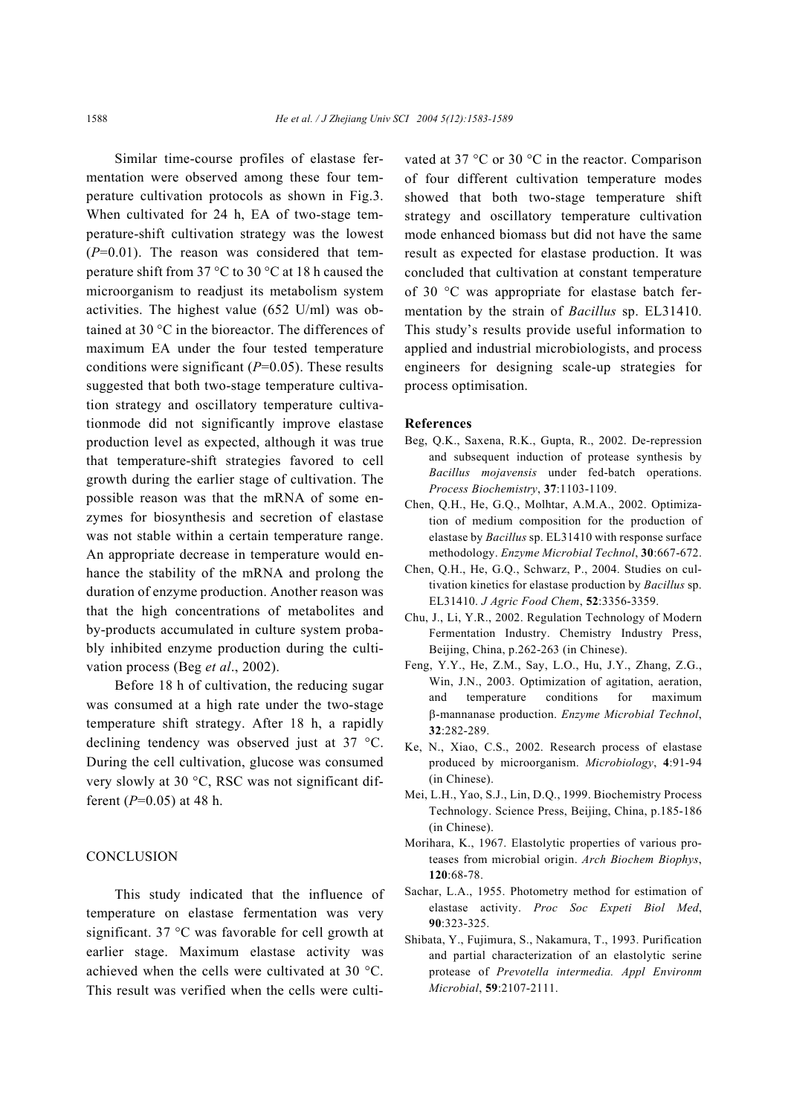Similar time-course profiles of elastase fermentation were observed among these four temperature cultivation protocols as shown in Fig.3. When cultivated for 24 h, EA of two-stage temperature-shift cultivation strategy was the lowest (*P*=0.01). The reason was considered that temperature shift from 37 °C to 30 °C at 18 h caused the microorganism to readjust its metabolism system activities. The highest value (652 U/ml) was obtained at 30 °C in the bioreactor. The differences of maximum EA under the four tested temperature conditions were significant (*P*=0.05). These results suggested that both two-stage temperature cultivation strategy and oscillatory temperature cultivationmode did not significantly improve elastase production level as expected, although it was true that temperature-shift strategies favored to cell growth during the earlier stage of cultivation. The possible reason was that the mRNA of some enzymes for biosynthesis and secretion of elastase was not stable within a certain temperature range. An appropriate decrease in temperature would enhance the stability of the mRNA and prolong the duration of enzyme production. Another reason was that the high concentrations of metabolites and by-products accumulated in culture system probably inhibited enzyme production during the cultivation process (Beg *et al*., 2002).

Before 18 h of cultivation, the reducing sugar was consumed at a high rate under the two-stage temperature shift strategy. After 18 h, a rapidly declining tendency was observed just at 37 °C. During the cell cultivation, glucose was consumed very slowly at 30 °C, RSC was not significant different (*P*=0.05) at 48 h.

#### **CONCLUSION**

This study indicated that the influence of temperature on elastase fermentation was very significant. 37 °C was favorable for cell growth at earlier stage. Maximum elastase activity was achieved when the cells were cultivated at 30 °C. This result was verified when the cells were cultivated at 37 °C or 30 °C in the reactor. Comparison of four different cultivation temperature modes showed that both two-stage temperature shift strategy and oscillatory temperature cultivation mode enhanced biomass but did not have the same result as expected for elastase production. It was concluded that cultivation at constant temperature of 30 °C was appropriate for elastase batch fermentation by the strain of *Bacillus* sp. EL31410. This study's results provide useful information to applied and industrial microbiologists, and process engineers for designing scale-up strategies for process optimisation.

#### **References**

- Beg, Q.K., Saxena, R.K., Gupta, R., 2002. De-repression and subsequent induction of protease synthesis by *Bacillus mojavensis* under fed-batch operations. *Process Biochemistry*, **37**:1103-1109.
- Chen, Q.H., He, G.Q., Molhtar, A.M.A., 2002. Optimization of medium composition for the production of elastase by *Bacillus* sp. EL31410 with response surface methodology. *Enzyme Microbial Technol*, **30**:667-672.
- Chen, Q.H., He, G.Q., Schwarz, P., 2004. Studies on cultivation kinetics for elastase production by *Bacillus* sp. EL31410. *J Agric Food Chem*, **52**:3356-3359.
- Chu, J., Li, Y.R., 2002. Regulation Technology of Modern Fermentation Industry. Chemistry Industry Press, Beijing, China, p.262-263 (in Chinese).
- Feng, Y.Y., He, Z.M., Say, L.O., Hu, J.Y., Zhang, Z.G., Win, J.N., 2003. Optimization of agitation, aeration, and temperature conditions for maximum β-mannanase production. *Enzyme Microbial Technol*, **32**:282-289.
- Ke, N., Xiao, C.S., 2002. Research process of elastase produced by microorganism. *Microbiology*, **4**:91-94 (in Chinese).
- Mei, L.H., Yao, S.J., Lin, D.Q., 1999. Biochemistry Process Technology. Science Press, Beijing, China, p.185-186 (in Chinese).
- Morihara, K., 1967. Elastolytic properties of various proteases from microbial origin. *Arch Biochem Biophys*, **120**:68-78.
- Sachar, L.A., 1955. Photometry method for estimation of elastase activity. *Proc Soc Expeti Biol Med*, **90**:323-325.
- Shibata, Y., Fujimura, S., Nakamura, T., 1993. Purification and partial characterization of an elastolytic serine protease of *Prevotella intermedia. Appl Environm Microbial*, **59**:2107-2111.